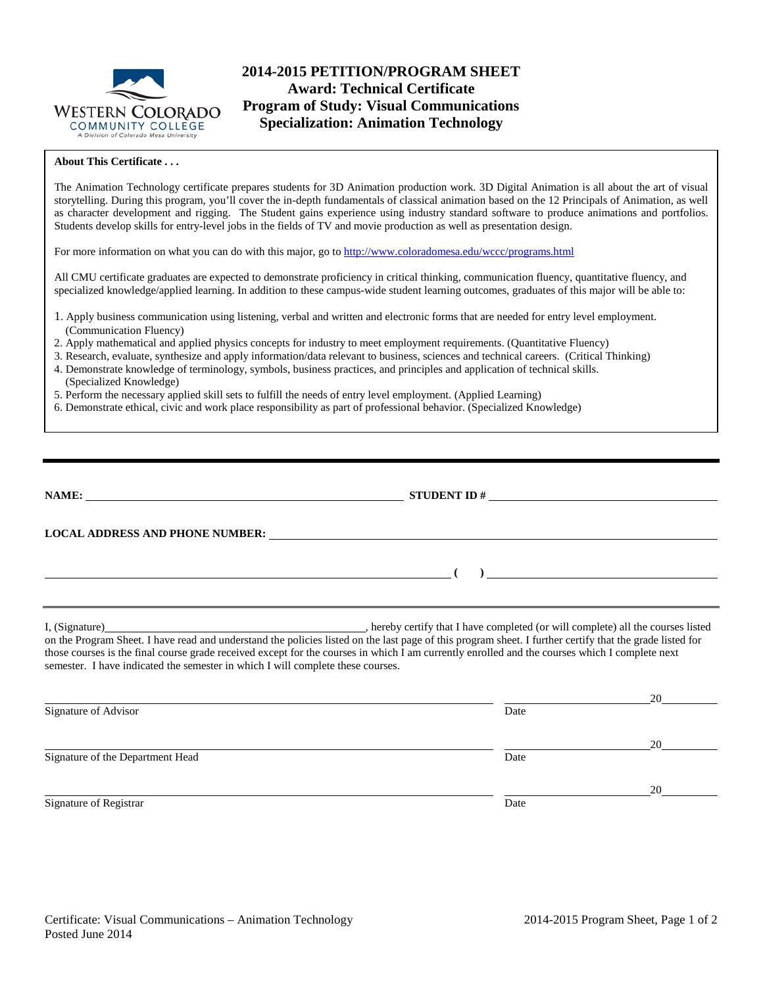

# **2014-2015 PETITION/PROGRAM SHEET Award: Technical Certificate Program of Study: Visual Communications Specialization: Animation Technology**

### **About This Certificate . . .**

The Animation Technology certificate prepares students for 3D Animation production work. 3D Digital Animation is all about the art of visual storytelling. During this program, you'll cover the in-depth fundamentals of classical animation based on the 12 Principals of Animation, as well as character development and rigging. The Student gains experience using industry standard software to produce animations and portfolios. Students develop skills for entry-level jobs in the fields of TV and movie production as well as presentation design.

For more information on what you can do with this major, go to<http://www.coloradomesa.edu/wccc/programs.html>

All CMU certificate graduates are expected to demonstrate proficiency in critical thinking, communication fluency, quantitative fluency, and specialized knowledge/applied learning. In addition to these campus-wide student learning outcomes, graduates of this major will be able to:

- 1. Apply business communication using listening, verbal and written and electronic forms that are needed for entry level employment. (Communication Fluency)
- 2. Apply mathematical and applied physics concepts for industry to meet employment requirements. (Quantitative Fluency)
- 3. Research, evaluate, synthesize and apply information/data relevant to business, sciences and technical careers. (Critical Thinking)
- 4. Demonstrate knowledge of terminology, symbols, business practices, and principles and application of technical skills. (Specialized Knowledge)
- 5. Perform the necessary applied skill sets to fulfill the needs of entry level employment. (Applied Learning)
- 6. Demonstrate ethical, civic and work place responsibility as part of professional behavior. (Specialized Knowledge)

|                                                                                 | $\overline{a}$                                                                                                                                                                                                                                                                                                                                                                   |    |
|---------------------------------------------------------------------------------|----------------------------------------------------------------------------------------------------------------------------------------------------------------------------------------------------------------------------------------------------------------------------------------------------------------------------------------------------------------------------------|----|
|                                                                                 |                                                                                                                                                                                                                                                                                                                                                                                  |    |
| semester. I have indicated the semester in which I will complete these courses. | I, (Signature) (Signature) and the courses listed on the last page of this program sheet. I further certify that the grade listed on the Program Sheet. I have read and understand the policies listed on the last page of thi<br>those courses is the final course grade received except for the courses in which I am currently enrolled and the courses which I complete next |    |
|                                                                                 |                                                                                                                                                                                                                                                                                                                                                                                  | 20 |
| Signature of Advisor                                                            | Date                                                                                                                                                                                                                                                                                                                                                                             |    |
|                                                                                 |                                                                                                                                                                                                                                                                                                                                                                                  | 20 |
| Signature of the Department Head                                                | Date                                                                                                                                                                                                                                                                                                                                                                             |    |
|                                                                                 |                                                                                                                                                                                                                                                                                                                                                                                  | 20 |
| Signature of Registrar                                                          | Date                                                                                                                                                                                                                                                                                                                                                                             |    |